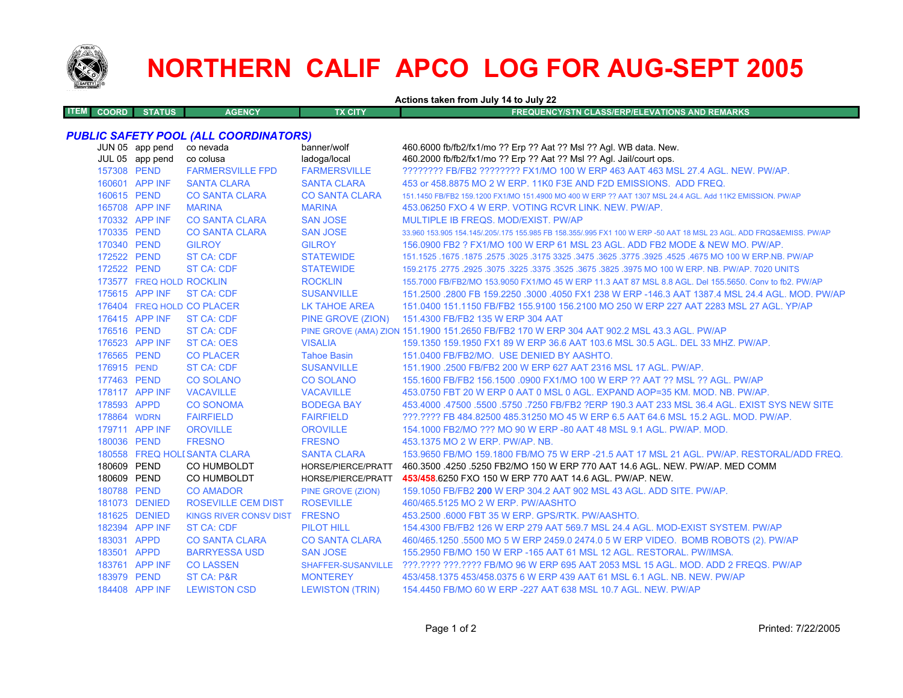

# **NORTHERN CALIF APCO LOG FOR AUG-SEPT 2005**

**Actions taken from July 14 to July 22**

| <b>COORD</b> | <b>STATUS</b> | <b>GENCY</b><br>аст. | TX CITY | FREQUENCY/STN CLASS/ERP/ELEVATIONS AND REMARKS |
|--------------|---------------|----------------------|---------|------------------------------------------------|
|              |               |                      |         |                                                |

## *PUBLIC SAFETY POOL (ALL COORDINATORS)*

|             | JUN 05 app pend<br>JUL 05 app pend | co nevada<br>co colusa        | banner/wolf<br>ladoga/local | 460.6000 fb/fb2/fx1/mo ?? Erp ?? Aat ?? Msl ?? Agl. WB data. New.<br>460.2000 fb/fb2/fx1/mo ?? Erp ?? Aat ?? Msl ?? Agl. Jail/court ops. |
|-------------|------------------------------------|-------------------------------|-----------------------------|------------------------------------------------------------------------------------------------------------------------------------------|
| 157308 PEND |                                    | <b>FARMERSVILLE FPD</b>       | <b>FARMERSVILLE</b>         | ???????? FB/FB2 ???????? FX1/MO 100 W ERP 463 AAT 463 MSL 27.4 AGL, NEW, PW/AP,                                                          |
|             | 160601 APP INF                     | <b>SANTA CLARA</b>            | <b>SANTA CLARA</b>          | 453 or 458,8875 MO 2 W ERP, 11K0 F3E AND F2D EMISSIONS. ADD FREQ.                                                                        |
| 160615 PEND |                                    | <b>CO SANTA CLARA</b>         | <b>CO SANTA CLARA</b>       | 151.1450 FB/FB2 159.1200 FX1/MO 151.4900 MO 400 W ERP ?? AAT 1307 MSL 24.4 AGL. Add 11K2 EMISSION, PW/AP                                 |
|             | 165708 APP INF                     | <b>MARINA</b>                 | <b>MARINA</b>               | 453.06250 FXO 4 W ERP. VOTING RCVR LINK, NEW, PW/AP.                                                                                     |
|             | 170332 APP INF                     | <b>CO SANTA CLARA</b>         | <b>SAN JOSE</b>             | MULTIPLE IB FREQS, MOD/EXIST, PW/AP                                                                                                      |
| 170335 PEND |                                    | <b>CO SANTA CLARA</b>         | <b>SAN JOSE</b>             | 33,960 153,905 154,145/.205/.175 155,985 FB 158,355/.995 FX1 100 W ERP -50 AAT 18 MSL 23 AGL, ADD FRQS&EMISS, PW/AP                      |
| 170340 PEND |                                    | <b>GILROY</b>                 | <b>GILROY</b>               | 156,0900 FB2 ? FX1/MO 100 W ERP 61 MSL 23 AGL. ADD FB2 MODE & NEW MO, PW/AP.                                                             |
| 172522 PEND |                                    | <b>ST CA: CDF</b>             | <b>STATEWIDE</b>            | 151.1525 .1675 .1675 .3025 .3625 .3775 .3925 .3775 .3925 .3775 .3925 .4525 .4675 .00 .1677 .1625 .1679 .1679 .                           |
| 172522 PEND |                                    | <b>ST CA: CDF</b>             | <b>STATEWIDE</b>            | 159,2175,2775,2925,3075,3225,3375,3525,3675,3825,3975 MO 100 W ERP, NB, PW/AP, 7020 UNITS                                                |
|             | 173577 FREQ HOLD ROCKLIN           |                               | <b>ROCKLIN</b>              | 155,7000 FB/FB2/MO 153,9050 FX1/MO 45 W ERP 11.3 AAT 87 MSL 8.8 AGL, Del 155,5650, Conv to fb2, PW/AP                                    |
|             | 175615 APP INF                     | ST CA: CDF                    | <b>SUSANVILLE</b>           | 151.2500 .2800 FB 159.2250 .3000 .4050 FX1 238 W ERP -146.3 AAT 1387.4 MSL 24.4 AGL, MOD, PW/AP                                          |
|             |                                    | 176404 FREQ HOLD CO PLACER    | LK TAHOE AREA               | 151,0400 151,1150 FB/FB2 155,9100 156,2100 MO 250 W ERP 227 AAT 2283 MSL 27 AGL, YP/AP                                                   |
|             | 176415 APP INF                     | ST CA: CDF                    |                             | PINE GROVE (ZION) 151.4300 FB/FB2 135 W ERP 304 AAT                                                                                      |
| 176516 PEND |                                    | <b>ST CA: CDF</b>             |                             | PINE GROVE (AMA) ZION 151.1900 151.2650 FB/FB2 170 W ERP 304 AAT 902.2 MSL 43.3 AGL. PW/AP                                               |
|             | 176523 APP INF                     | <b>ST CA: OES</b>             | <b>VISALIA</b>              | 159.1350 159.1950 FX1 89 W ERP 36.6 AAT 103.6 MSL 30.5 AGL. DEL 33 MHZ. PW/AP.                                                           |
| 176565 PEND |                                    | <b>CO PLACER</b>              | <b>Tahoe Basin</b>          | 151.0400 FB/FB2/MO. USE DENIED BY AASHTO.                                                                                                |
| 176915 PEND |                                    | <b>ST CA: CDF</b>             | <b>SUSANVILLE</b>           | 151.1900 .2500 FB/FB2 200 W ERP 627 AAT 2316 MSL 17 AGL. PW/AP.                                                                          |
| 177463 PEND |                                    | <b>CO SOLANO</b>              | <b>CO SOLANO</b>            | 155.1600 FB/FB2 156.1500 .0900 FX1/MO 100 W ERP ?? AAT ?? MSL ?? AGL. PW/AP                                                              |
|             | 178117 APP INF                     | <b>VACAVILLE</b>              | <b>VACAVILLE</b>            | 453.0750 FBT 20 W ERP 0 AAT 0 MSL 0 AGL. EXPAND AOP=35 KM. MOD. NB. PW/AP.                                                               |
| 178593 APPD |                                    | <b>CO SONOMA</b>              | <b>BODEGA BAY</b>           | 453.4000 .47500 .5500 .5750 .7250 FB/FB2 ?ERP 190.3 AAT 233 MSL 36.4 AGL. EXIST SYS NEW SITE                                             |
| 178864 WDRN |                                    | <b>FAIRFIELD</b>              | <b>FAIRFIELD</b>            | ???.???? FB 484.82500 485.31250 MO 45 W ERP 6.5 AAT 64.6 MSL 15.2 AGL. MOD. PW/AP.                                                       |
|             | 179711 APP INF                     | <b>OROVILLE</b>               | <b>OROVILLE</b>             | 154,1000 FB2/MO ??? MO 90 W ERP -80 AAT 48 MSL 9.1 AGL, PW/AP, MOD.                                                                      |
| 180036 PEND |                                    | <b>FRESNO</b>                 | <b>FRESNO</b>               | 453.1375 MO 2 W ERP. PW/AP. NB.                                                                                                          |
|             |                                    | 180558 FREQ HOLI SANTA CLARA  | <b>SANTA CLARA</b>          | 153,9650 FB/MO 159,1800 FB/MO 75 W ERP -21.5 AAT 17 MSL 21 AGL, PW/AP, RESTORAL/ADD FREQ.                                                |
| 180609 PEND |                                    | CO HUMBOLDT                   | HORSE/PIERCE/PRATT          | 460.3500 .4250 .5250 FB2/MO 150 W ERP 770 AAT 14.6 AGL, NEW, PW/AP, MED COMM                                                             |
| 180609 PEND |                                    | CO HUMBOLDT                   | HORSE/PIERCE/PRATT          | 453/458.6250 FXO 150 W ERP 770 AAT 14.6 AGL, PW/AP, NEW.                                                                                 |
| 180788 PEND |                                    | <b>CO AMADOR</b>              | PINE GROVE (ZION)           | 159.1050 FB/FB2 200 W ERP 304.2 AAT 902 MSL 43 AGL, ADD SITE, PW/AP.                                                                     |
|             | 181073 DENIED                      | <b>ROSEVILLE CEM DIST</b>     | <b>ROSEVILLE</b>            | 460/465.5125 MO 2 W ERP. PW/AASHTO                                                                                                       |
|             | 181625 DENIED                      | KINGS RIVER CONSV DIST FRESNO |                             | 453.2500 .6000 FBT 35 W ERP. GPS/RTK. PW/AASHTO.                                                                                         |
|             | 182394 APP INF                     | <b>ST CA: CDF</b>             | <b>PILOT HILL</b>           | 154,4300 FB/FB2 126 W ERP 279 AAT 569.7 MSL 24.4 AGL, MOD-EXIST SYSTEM, PW/AP                                                            |
| 183031 APPD |                                    | <b>CO SANTA CLARA</b>         | <b>CO SANTA CLARA</b>       | 460/465.1250 .5500 MO 5 W ERP 2459.0 2474.0 5 W ERP VIDEO. BOMB ROBOTS (2). PW/AP                                                        |
| 183501 APPD |                                    | <b>BARRYESSA USD</b>          | <b>SAN JOSE</b>             | 155,2950 FB/MO 150 W ERP -165 AAT 61 MSL 12 AGL, RESTORAL, PW/IMSA.                                                                      |
|             | 183761 APP INF                     | <b>CO LASSEN</b>              |                             | SHAFFER-SUSANVILLE ???.???? ???.???? FB/MO 96 W ERP 695 AAT 2053 MSL 15 AGL, MOD, ADD 2 FREQS, PW/AP                                     |
| 183979 PEND |                                    | <b>ST CA: P&amp;R</b>         | <b>MONTEREY</b>             | 453/458.1375 453/458.0375 6 W ERP 439 AAT 61 MSL 6.1 AGL, NB, NEW, PW/AP                                                                 |
|             | 184408 APP INF                     | <b>LEWISTON CSD</b>           | <b>LEWISTON (TRIN)</b>      | 154,4450 FB/MO 60 W ERP -227 AAT 638 MSL 10.7 AGL, NEW, PW/AP                                                                            |